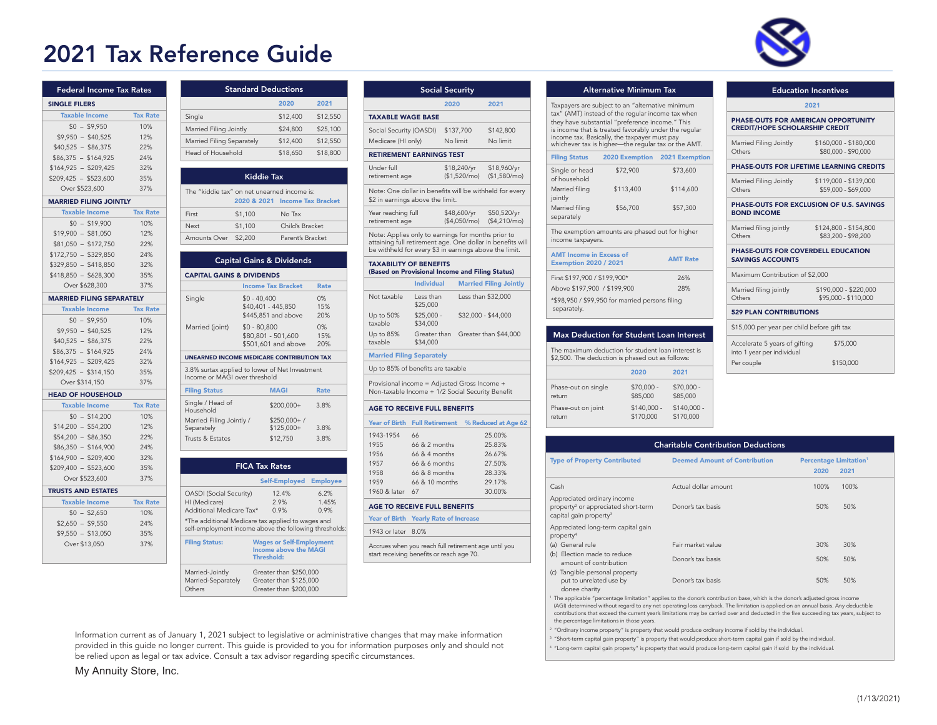# 2021 Tax Reference Guide



| <b>Federal Income Tax Rates</b>  |                 |
|----------------------------------|-----------------|
| <b>SINGLE FILERS</b>             |                 |
| <b>Taxable Income</b>            | <b>Tax Rate</b> |
| $$0 - $9.950$                    | 10%             |
| $$9.950 - $40.525$               | 12%             |
| $$40,525 - $86,375$              | 22%             |
| $$86,375 - $164,925$             | 24%             |
| $$164,925 - $209,425$            | 32%             |
| $$209,425 - $523,600$            | 35%             |
| Over \$523,600                   | 37%             |
| <b>MARRIED FILING JOINTLY</b>    |                 |
| <b>Taxable Income</b>            | <b>Tax Rate</b> |
| $$0 - $19,900$                   | 10%             |
| \$19,900 -<br>\$81,050           | 12%             |
| $$81,050 - $172,750$             | 22%             |
| $$172,750 - $329,850$            | 24%             |
| $$329,850 - $418,850$            | 32%             |
| $$418,850 - $628,300$            | 35%             |
| Over \$628,300                   | 37%             |
| <b>MARRIED FILING SEPARATELY</b> |                 |
| <b>Taxable Income</b>            | <b>Tax Rate</b> |
| $$0 - $9,950$                    | 10%             |
| $$9,950 - $40,525$               | 12%             |
| $$40.525 - $86.375$              | 22%             |
| $$86,375 - $164,925$             | 24%             |
| $$164,925 - $209,425$            | 32%             |
| $$209,425 - $314,150$            | 35%             |
| Over \$314,150                   | 37%             |
| <b>HEAD OF HOUSEHOLD</b>         |                 |
| <b>Taxable Income</b>            | <b>Tax Rate</b> |
| $$0 - $14,200$                   | 10%             |
| $$14,200 - $54,200$              | 12%             |
| $$54,200 - $86,350$              | 22%             |
| $$86,350 - $164,900$             | 24%             |
| $$164,900 - $209,400$            | 32%             |
| $$209,400 - $523,600$            | 35%             |
| Over \$523,600                   | 37%             |
| <b>TRUSTS AND ESTATES</b>        |                 |
| <b>Taxable Income</b>            | <b>Tax Rate</b> |
| $$0 - $2,650$                    | 10%             |
| $$2,650 - $9,550$                | 24%             |
| $$9.550 - $13.050$               | 35%             |
| Over \$13,050                    | 37%             |
|                                  |                 |

|                                                                                 |                       | <b>Standard Deductions</b>           |                 |
|---------------------------------------------------------------------------------|-----------------------|--------------------------------------|-----------------|
|                                                                                 |                       | 2020                                 | 2021            |
| Single                                                                          |                       | \$12,400                             | \$12,550        |
| Married Filing Jointly                                                          |                       | \$24,800                             | \$25,100        |
| Married Filing Separately                                                       |                       | \$12,400                             | \$12,550        |
| Head of Household                                                               |                       | \$18,650                             | \$18,800        |
|                                                                                 |                       | <b>Kiddie Tax</b>                    |                 |
| The "kiddie tax" on net unearned income is:                                     |                       |                                      |                 |
|                                                                                 |                       | 2020 & 2021 Income Tax Bracket       |                 |
| First                                                                           | \$1,100               | No Tax                               |                 |
| Next                                                                            | \$1,100               | Child's Bracket                      |                 |
| Amounts Over \$2,200                                                            |                       | Parent's Bracket                     |                 |
|                                                                                 |                       | <b>Capital Gains &amp; Dividends</b> |                 |
| <b>CAPITAL GAINS &amp; DIVIDENDS</b>                                            |                       |                                      |                 |
|                                                                                 |                       |                                      |                 |
|                                                                                 |                       | <b>Income Tax Bracket</b>            | <b>Rate</b>     |
|                                                                                 | $$0 - 40,400$         |                                      | 0%              |
| Single                                                                          |                       | \$40,401 - 445,850                   | 15%             |
|                                                                                 |                       | \$445,851 and above                  | 20%             |
| Married (joint)                                                                 | $$0 - 80,800$         | \$80,801 - 501,600                   | 0%<br>15%       |
|                                                                                 |                       | \$501,601 and above                  | 20%             |
| <b>UNEARNED INCOME MEDICARE CONTRIBUTION TAX</b>                                |                       |                                      |                 |
| 3.8% surtax applied to lower of Net Investment<br>Income or MAGI over threshold |                       |                                      |                 |
| <b>Filing Status</b>                                                            |                       | <b>MAGI</b>                          | <b>Rate</b>     |
| Single / Head of<br>Household                                                   |                       | $$200,000+$                          | 3.8%            |
| Married Filing Jointly /                                                        |                       | $$250,000+ /$                        |                 |
|                                                                                 |                       | $$125,000+$                          | 3.8%            |
| Separately<br>Trusts & Estates                                                  |                       | \$12,750                             | 3.8%            |
|                                                                                 | <b>FICA Tax Rates</b> |                                      |                 |
|                                                                                 |                       | Self-Employed                        | <b>Employee</b> |
| <b>OASDI</b> (Social Security)<br>HI (Medicare)                                 |                       | 12.4%<br>2.9%                        | 6.2%<br>1.45%   |

|                                                                                                                                                                            | <b>Social Security</b>  |                              |                                    |
|----------------------------------------------------------------------------------------------------------------------------------------------------------------------------|-------------------------|------------------------------|------------------------------------|
|                                                                                                                                                                            |                         | 2020                         | 2021                               |
| <b>TAXABLE WAGE BASE</b>                                                                                                                                                   |                         |                              |                                    |
| Social Security (OASDI)                                                                                                                                                    |                         | \$137,700                    | \$142,800                          |
| Medicare (HI only)                                                                                                                                                         |                         | No limit                     | No limit                           |
| <b>RETIREMENT EARNINGS TEST</b>                                                                                                                                            |                         |                              |                                    |
| Under full                                                                                                                                                                 |                         | \$18,240/yr                  | \$18,960/yr                        |
| retirement age                                                                                                                                                             |                         | (\$1,520/mol)                | (\$1,580/mol)                      |
| Note: One dollar in benefits will be withheld for every<br>\$2 in earnings above the limit.                                                                                |                         |                              |                                    |
| Year reaching full<br>retirement age                                                                                                                                       |                         | \$48,600/yr<br>(\$4,050/mol) | \$50,520/yr<br>(\$4,210/mol)       |
| Note: Applies only to earnings for months prior to<br>attaining full retirement age. One dollar in benefits will<br>be withheld for every \$3 in earnings above the limit. |                         |                              |                                    |
| <b>TAXABILITY OF BENEFITS</b><br>(Based on Provisional Income and Filing Status)                                                                                           |                         |                              |                                    |
|                                                                                                                                                                            | <b>Individual</b>       |                              | <b>Married Filing Jointly</b>      |
| Not taxable                                                                                                                                                                | Less than<br>\$25,000   |                              | Less than \$32,000                 |
| Up to 50%<br>taxable                                                                                                                                                       | $$25.000 -$<br>\$34,000 |                              | \$32,000 - \$44,000                |
| Up to 85%<br>taxable                                                                                                                                                       | \$34,000                |                              | Greater than Greater than \$44,000 |
| <b>Married Filing Separately</b>                                                                                                                                           |                         |                              |                                    |
| Up to 85% of benefits are taxable                                                                                                                                          |                         |                              |                                    |
| Provisional income = Adjusted Gross Income +<br>Non-taxable Income + 1/2 Social Security Benefit                                                                           |                         |                              |                                    |
|                                                                                                                                                                            |                         |                              |                                    |
| <b>AGE TO RECEIVE FULL BENEFITS</b>                                                                                                                                        |                         |                              |                                    |
| Year of Birth Full Retirement                                                                                                                                              |                         |                              | % Reduced at Age 62                |
| 1943-1954                                                                                                                                                                  | 66                      |                              | 25.00%                             |
| 1955                                                                                                                                                                       | 66 & 2 months           |                              | 25.83%                             |
| 1956                                                                                                                                                                       | 66 & 4 months           |                              | 26.67%                             |
| 1957                                                                                                                                                                       | 66 & 6 months           |                              | 27.50%                             |
| 1958                                                                                                                                                                       | 66 & 8 months           |                              | 28.33%                             |
| 1959                                                                                                                                                                       | 66 & 10 months          |                              | 29.17%                             |

|  |  |  | Year of Birth Yearly Rate of Increase |
|--|--|--|---------------------------------------|
|  |  |  |                                       |

### 1943 or later 8.0%

Accrues when you reach full retirement age until you start receiving benefits or reach age 70.

Alternative Minimum Tax F

 Taxpayers are subject to an "alternative minimum tax" (AMT) instead of the regular income tax when they have substantial "preference income." This is income that is treated favorably under the regular income tax. Basically, the taxpayer must pay whichever tax is higher—the regular tax or the AMT.

| <b>Filing Status</b>                                                                                    | 2020 Exemption  | 2021 Exemption |  |  |
|---------------------------------------------------------------------------------------------------------|-----------------|----------------|--|--|
| Single or head<br>of household                                                                          | \$72,900        | \$73,600       |  |  |
| Married filing<br>jointly                                                                               | \$113,400       | \$114,600      |  |  |
| Married filing<br>separately                                                                            | \$56,700        | \$57,300       |  |  |
| The exemption amounts are phased out for higher<br>income taxpayers.                                    |                 |                |  |  |
| <b>AMT</b> Income in Excess of<br><b>Exemption 2020 / 2021</b>                                          | <b>AMT Rate</b> |                |  |  |
| First \$197,900 / \$199,900*                                                                            | 26%             |                |  |  |
| Above \$197,900 / \$199,900                                                                             | 28%             |                |  |  |
| $*$ $\uparrow$ 0000 $\uparrow$ 00 $\downarrow$ $\uparrow$ 0000 $\uparrow$ 0 $\uparrow$ 000 $\downarrow$ |                 |                |  |  |

| *\$98,950 / \$99,950 for married persons filing<br>separately. |
|----------------------------------------------------------------|
|                                                                |

|  | <b>Max Deduction for Student Loan Interest</b><br>The maximum deduction for student loan interest is<br>\$2,500. The deduction is phased out as follows: |                           |                           |  |  |
|--|----------------------------------------------------------------------------------------------------------------------------------------------------------|---------------------------|---------------------------|--|--|
|  |                                                                                                                                                          |                           |                           |  |  |
|  |                                                                                                                                                          | 2020                      | 2021                      |  |  |
|  | Phase-out on single<br>return                                                                                                                            | $$70.000 -$<br>\$85,000   | $$70.000 -$<br>\$85,000   |  |  |
|  | Phase-out on joint<br>return                                                                                                                             | $$140.000 -$<br>\$170,000 | $$140.000 -$<br>\$170,000 |  |  |

| PHASE-OUTS FOR AMERICAN OPPORTUNITY<br>\$160,000 - \$180,000<br>\$80,000 - \$90,000<br>PHASE-OUTS FOR LIFETIME LEARNING CREDITS |  |  |  |  |
|---------------------------------------------------------------------------------------------------------------------------------|--|--|--|--|
|                                                                                                                                 |  |  |  |  |
|                                                                                                                                 |  |  |  |  |
|                                                                                                                                 |  |  |  |  |
|                                                                                                                                 |  |  |  |  |
| \$119,000 - \$139,000<br>\$59,000 - \$69,000                                                                                    |  |  |  |  |
| PHASE-OUTS FOR EXCLUSION OF U.S. SAVINGS<br><b>BOND INCOME</b>                                                                  |  |  |  |  |
| \$124.800 - \$154.800<br>\$83,200 - \$98,200                                                                                    |  |  |  |  |
| PHASE-OUTS FOR COVERDELL EDUCATION<br><b>SAVINGS ACCOUNTS</b>                                                                   |  |  |  |  |
|                                                                                                                                 |  |  |  |  |
| \$190,000 - \$220,000<br>\$95,000 - \$110,000                                                                                   |  |  |  |  |
| <b>529 PLAN CONTRIBUTIONS</b>                                                                                                   |  |  |  |  |
| \$15,000 per year per child before gift tax                                                                                     |  |  |  |  |
|                                                                                                                                 |  |  |  |  |
|                                                                                                                                 |  |  |  |  |
|                                                                                                                                 |  |  |  |  |

| <b>Charitable Contribution Deductions</b> |                                                  |                                                                                                                                          |  |
|-------------------------------------------|--------------------------------------------------|------------------------------------------------------------------------------------------------------------------------------------------|--|
| <b>Deemed Amount of Contribution</b>      | <b>Percentage Limitation<sup>1</sup></b><br>2020 | 2021                                                                                                                                     |  |
| Actual dollar amount                      | 100%                                             | 100%                                                                                                                                     |  |
| Donor's tax basis                         | 50%                                              | 50%                                                                                                                                      |  |
|                                           |                                                  |                                                                                                                                          |  |
| Fair market value                         | 30%                                              | 30%                                                                                                                                      |  |
| Donor's tax basis                         | 50%                                              | 50%                                                                                                                                      |  |
| Donor's tax basis                         | 50%                                              | 50%                                                                                                                                      |  |
|                                           |                                                  | <sup>1</sup> The applicable "percentage limitation" applies to the donor's contribution base, which is the donor's adjusted gross income |  |

The applicable "percentage limitation" applies to the donor's contribution base, which is the donor's adjusted gross income<br>(AGI) determined without regard to any net operating loss carryback. The limitation is applied on contributions that exceed the current year's limitations may be carried over and deducted in the five succeeding tax years, subject to the percentage limitations in those years.

"Ordinary income property" is property that would produce ordinary income if sold by the individual.

<sup>3</sup>"Short-term capital gain property" is property that would produce short-term capital gain if sold by the individual.

 $^{\circ}$  "Long-term capital gain property" is property that would produce long-term capital gain if sold by the individual.

Information current as of January 1, 2021 subject to legislative or administrative changes that may make information provided in this guide no longer current. This guide is provided to you for information purposes only and should not be relied upon as legal or tax advice. Consult a tax advisor regarding specific circumstances.

Greater than \$200,000

Filing Status: Wages or Self-Employment Income above the MAGI Threshold:

Married-Jointly Greater than \$250,000<br>Married-Separately Greater than \$125,000 Married-Separately Greater than \$125,000<br>Others Greater than \$200,000

## My Annuity Store, Inc.